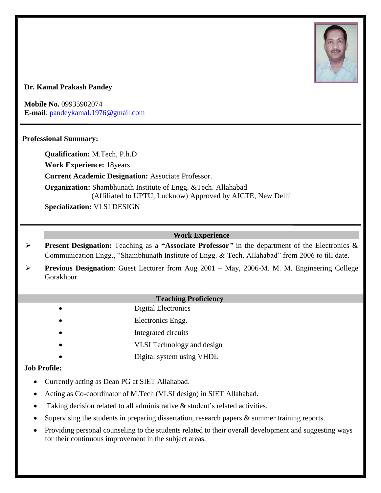

## **Dr. Kamal Prakash Pandey**

**Mobile No.** 09935902074 **E-mail**: [pandeykamal.1976@gmail.com](mailto:pandeykamal.1976@gmail.com)

## **Professional Summary:**

**Qualification:** M.Tech, P.h.D **Work Experience:** 18years **Current Academic Designation:** Associate Professor. **Organization:** Shambhunath Institute of Engg. &Tech. Allahabad (Affiliated to UPTU, Lucknow) Approved by AICTE, New Delhi

**Specialization:** VLSI DESIGN

## **Work Experience**

- ➢ **Present Designation:** Teaching as a **"Associate Professor***"* in the department of the Electronics & Communication Engg., "Shambhunath Institute of Engg. & Tech. Allahabad" from 2006 to till date.
- ➢ **Previous Designation**: Guest Lecturer from Aug 2001 May, 2006-M. M. M. Engineering College Gorakhpur.

### **Teaching Proficiency**

- Digital Electronics
- Electronics Engg.
- Integrated circuits
- VLSI Technology and design
- Digital system using VHDL

### **Job Profile:**

- Currently acting as Dean PG at SIET Allahabad.
- Acting as Co-coordinator of M.Tech (VLSI design) in SIET Allahabad.
- Taking decision related to all administrative & student's related activities.
- Supervising the students in preparing dissertation, research papers & summer training reports.
- Providing personal counseling to the students related to their overall development and suggesting ways for their continuous improvement in the subject areas.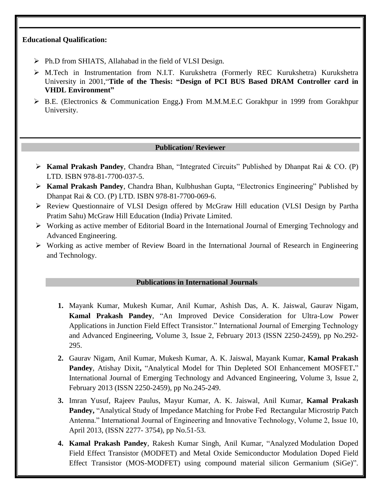### **Educational Qualification:**

- ➢ Ph.D from SHIATS, Allahabad in the field of VLSI Design.
- ➢ M.Tech in Instrumentation from N.I.T. Kurukshetra (Formerly REC Kurukshetra) Kurukshetra University in 2001,"**Title of the Thesis: "Design of PCI BUS Based DRAM Controller card in VHDL Environment"**
- ➢ B.E. (Electronics & Communication Engg**.)** From M.M.M.E.C Gorakhpur in 1999 from Gorakhpur University.

## **Publication/ Reviewer**

- ➢ **Kamal Prakash Pandey**, Chandra Bhan, "Integrated Circuits" Published by Dhanpat Rai & CO. (P) LTD. ISBN 978-81-7700-037-5.
- ➢ **Kamal Prakash Pandey**, Chandra Bhan, Kulbhushan Gupta, "Electronics Engineering" Published by Dhanpat Rai & CO. (P) LTD. ISBN 978-81-7700-069-6.
- ➢ Review Questionnaire of VLSI Design offered by McGraw Hill education (VLSI Design by Partha Pratim Sahu) McGraw Hill Education (India) Private Limited.
- ➢ Working as active member of Editorial Board in the International Journal of Emerging Technology and Advanced Engineering.
- ➢ Working as active member of Review Board in the International Journal of Research in Engineering and Technology.

### **Publications in International Journals**

- **1.** Mayank Kumar, Mukesh Kumar, Anil Kumar, Ashish Das, A. K. Jaiswal, Gaurav Nigam, **Kamal Prakash Pandey**, ["An Improved Device Consideration for Ultra-Low Power](http://www.ijetae.com/files/Volume3Issue2/IJETAE_0213_50.pdf)  [Applications in Junction Field Effect Transistor.](http://www.ijetae.com/files/Volume3Issue2/IJETAE_0213_50.pdf)" International Journal of Emerging Technology and Advanced Engineering, Volume 3, Issue 2, February 2013 (ISSN 2250-2459), pp No.292- 295.
- **2.** Gaurav Nigam, Anil Kumar, Mukesh Kumar, A. K. Jaiswal, Mayank Kumar, **Kamal Prakash Pandey**, Atishay Dixit**,** ["Analytical Model for Thin Depleted SOI Enhancement MOSFET](http://www.ijetae.com/files/Volume3Issue2/IJETAE_0213_42.pdf)**.**" International Journal of Emerging Technology and Advanced Engineering, Volume 3, Issue 2, February 2013 (ISSN 2250-2459), pp No.245-249.
- **3.** Imran Yusuf, Rajeev Paulus, Mayur Kumar, A. K. Jaiswal, Anil Kumar, **Kamal Prakash Pandey,** "Analytical Study of Impedance Matching for Probe Fed Rectangular Microstrip Patch Antenna." International Journal of Engineering and Innovative Technology, Volume 2, Issue 10, April 2013, (ISSN 2277- 3754), pp No.51-53.
- **4. Kamal Prakash Pandey**, Rakesh Kumar Singh, Anil Kumar, "Analyzed Modulation Doped Field Effect Transistor (MODFET) and Metal Oxide Semiconductor Modulation Doped Field Effect Transistor (MOS-MODFET) using compound material silicon Germanium (SiGe)".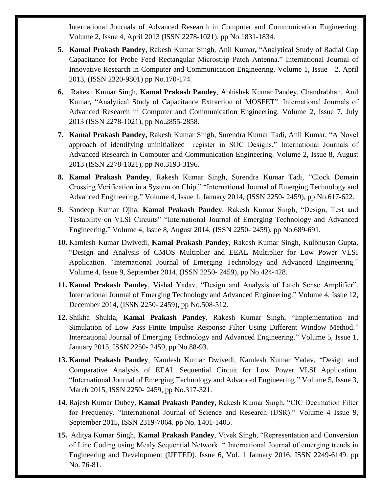International Journals of Advanced Research in Computer and Communication Engineering. Volume 2, Issue 4, April 2013 (ISSN 2278-1021), pp No.1831-1834.

- **5. Kamal Prakash Pandey**, Rakesh Kumar Singh, Anil Kumar**,** "Analytical Study of Radial Gap Capacitance for Probe Feed Rectangular Microstrip Patch Antenna." International Journal of Innovative Research in Computer and Communication Engineering. Volume 1, Issue 2, April 2013, (ISSN 2320-9801) pp No.170-174.
- **6.** Rakesh Kumar Singh, **Kamal Prakash Pandey**, Abhishek Kumar Pandey, Chandrabhan, Anil Kumar**,** "Analytical Study of Capacitance Extraction of MOSFET". International Journals of Advanced Research in Computer and Communication Engineering. Volume 2, Issue 7, July 2013 (ISSN 2278-1021), pp No.2855-2858.
- **7. Kamal Prakash Pandey,** Rakesh Kumar Singh, Surendra Kumar Tadi, Anil Kumar, "A Novel approach of identifying uninitialized register in SOC Designs." International Journals of Advanced Research in Computer and Communication Engineering. Volume 2, Issue 8, August 2013 (ISSN 2278-1021), pp No.3193-3196.
- **8. Kamal Prakash Pandey**, Rakesh Kumar Singh, Surendra Kumar Tadi, "Clock Domain Crossing Verification in a System on Chip." "International Journal of Emerging Technology and Advanced Engineering." Volume 4, Issue 1, January 2014, (ISSN 2250- 2459), pp No.617-622.
- **9.** Sandeep Kumar Ojha, **Kamal Prakash Pandey**, Rakesh Kumar Singh, "Design, Test and Testability on VLSI Circuits" "International Journal of Emerging Technology and Advanced Engineering." Volume 4, Issue 8, August 2014, (ISSN 2250- 2459), pp No.689-691.
- **10.** Kamlesh Kumar Dwivedi, **Kamal Prakash Pandey**, Rakesh Kumar Singh, Kulbhusan Gupta, "Design and Analysis of CMOS Multiplier and EEAL Multiplier for Low Power VLSI Application. "International Journal of Emerging Technology and Advanced Engineering." Volume 4, Issue 9, September 2014, (ISSN 2250- 2459), pp No.424-428.
- **11. Kamal Prakash Pandey**, Vishal Yadav, "Design and Analysis of Latch Sense Amplifier". International Journal of Emerging Technology and Advanced Engineering." Volume 4, Issue 12, December 2014, (ISSN 2250- 2459), pp No.508-512.
- **12.** Shikha Shukla, **Kamal Prakash Pandey**, Rakesh Kumar Singh, "Implementation and Simulation of Low Pass Finite Impulse Response Filter Using Different Window Method." International Journal of Emerging Technology and Advanced Engineering." Volume 5, Issue 1, January 2015, ISSN 2250- 2459, pp No.88-93.
- **13. Kamal Prakash Pandey**, Kamlesh Kumar Dwivedi, Kamlesh Kumar Yadav, "Design and Comparative Analysis of EEAL Sequential Circuit for Low Power VLSI Application. "International Journal of Emerging Technology and Advanced Engineering." Volume 5, Issue 3, March 2015, ISSN 2250- 2459, pp No.317-321.
- **14.** Rajesh Kumar Dubey, **Kamal Prakash Pandey**, Rakesh Kumar Singh, "CIC Decimation Filter for Frequency. "International Journal of Science and Research (IJSR)." Volume 4 Issue 9, September 2015, ISSN 2319-7064. pp No. 1401-1405.
- **15.** Aditya Kumar Singh, **Kamal Prakash Pandey**, Vivek Singh, "Representation and Conversion of Line Coding using Mealy Sequential Network. " International Journal of emerging trends in Engineering and Development (IJETED). Issue 6, Vol. 1 January 2016, ISSN 2249-6149. pp No. 76-81.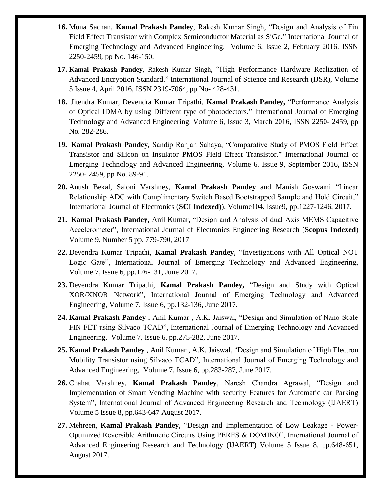- **16.** Mona Sachan, **Kamal Prakash Pandey**, Rakesh Kumar Singh, "Design and Analysis of Fin Field Effect Transistor with Complex Semiconductor Material as SiGe." International Journal of Emerging Technology and Advanced Engineering. Volume 6, Issue 2, February 2016. ISSN 2250-2459, pp No. 146-150.
- **17. Kamal Prakash Pandey,** Rakesh Kumar Singh, "High Performance Hardware Realization of Advanced Encryption Standard." International Journal of Science and Research (IJSR), Volume 5 Issue 4, April 2016, ISSN 2319-7064, pp No- 428-431.
- **18.** Jitendra Kumar, Devendra Kumar Tripathi, **Kamal Prakash Pandey,** "Performance Analysis of Optical IDMA by using Different type of photodectors." International Journal of Emerging Technology and Advanced Engineering, Volume 6, Issue 3, March 2016, ISSN 2250- 2459, pp No. 282-286.
- **19. Kamal Prakash Pandey,** Sandip Ranjan Sahaya, "Comparative Study of PMOS Field Effect Transistor and Silicon on Insulator PMOS Field Effect Transistor." International Journal of Emerging Technology and Advanced Engineering, Volume 6, Issue 9, September 2016, ISSN 2250- 2459, pp No. 89-91.
- **20.** Anush Bekal, Saloni Varshney, **Kamal Prakash Pandey** and Manish Goswami "Linear Relationship ADC with Complimentary Switch Based Bootstrapped Sample and Hold Circuit," International Journal of Electronics (**SCI Indexed)**), Volume104, Issue9, pp.1227-1246, 2017.
- **21. Kamal Prakash Pandey,** Anil Kumar, "Design and Analysis of dual Axis MEMS Capacitive Accelerometer", International Journal of Electronics Engineering Research (**Scopus Indexed**) Volume 9, Number 5 pp. 779-790, 2017.
- **22.** Devendra Kumar Tripathi, **Kamal Prakash Pandey,** "Investigations with All Optical NOT Logic Gate", International Journal of Emerging Technology and Advanced Engineering, Volume 7, Issue 6, pp.126-131, June 2017.
- **23.** Devendra Kumar Tripathi, **Kamal Prakash Pandey,** "Design and Study with Optical XOR/XNOR Network", International Journal of Emerging Technology and Advanced Engineering, Volume 7, Issue 6, pp.132-136, June 2017.
- **24. Kamal Prakash Pandey** , Anil Kumar , A.K. Jaiswal, "Design and Simulation of Nano Scale FIN FET using Silvaco TCAD", International Journal of Emerging Technology and Advanced Engineering, Volume 7, Issue 6, pp.275-282, June 2017.
- **25. Kamal Prakash Pandey** , Anil Kumar , A.K. Jaiswal, "Design and Simulation of High Electron Mobility Transistor using Silvaco TCAD", International Journal of Emerging Technology and Advanced Engineering, Volume 7, Issue 6, pp.283-287, June 2017.
- **26.** Chahat Varshney, **Kamal Prakash Pandey**, Naresh Chandra Agrawal, "Design and Implementation of Smart Vending Machine with security Features for Automatic car Parking System", International Journal of Advanced Engineering Research and Technology (IJAERT) Volume 5 Issue 8, pp.643-647 August 2017.
- **27.** Mehreen, **Kamal Prakash Pandey**, "Design and Implementation of Low Leakage Power-Optimized Reversible Arithmetic Circuits Using PERES & DOMINO", International Journal of Advanced Engineering Research and Technology (IJAERT) Volume 5 Issue 8, pp.648-651, August 2017.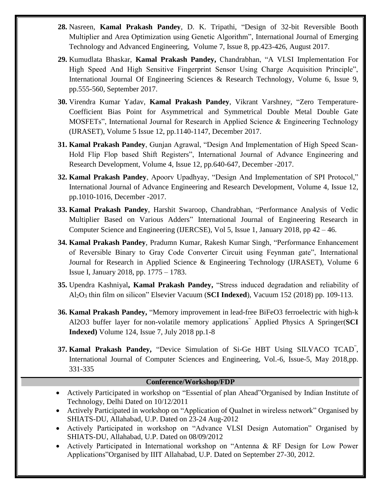- **28.** Nasreen, **Kamal Prakash Pandey**, D. K. Tripathi, "Design of 32-bit Reversible Booth Multiplier and Area Optimization using Genetic Algorithm", International Journal of Emerging Technology and Advanced Engineering, Volume 7, Issue 8, pp.423-426, August 2017.
- **29.** Kumudlata Bhaskar, **Kamal Prakash Pandey,** Chandrabhan, "A VLSI Implementation For High Speed And High Sensitive Fingerprint Sensor Using Charge Acquisition Principle", International Journal Of Engineering Sciences & Research Technology, Volume 6, Issue 9, pp.555-560, September 2017.
- **30.** Virendra Kumar Yadav, **Kamal Prakash Pandey**, Vikrant Varshney, "Zero Temperature-Coefficient Bias Point for Asymmetrical and Symmetrical Double Metal Double Gate MOSFETs", International Journal for Research in Applied Science & Engineering Technology (IJRASET), Volume 5 Issue 12, pp.1140-1147, December 2017.
- **31. Kamal Prakash Pandey**, Gunjan Agrawal, "Design And Implementation of High Speed Scan-Hold Flip Flop based Shift Registers", International Journal of Advance Engineering and Research Development, Volume 4, Issue 12, pp.640-647, December -2017.
- **32. Kamal Prakash Pandey**, Apoorv Upadhyay, "Design And Implementation of SPI Protocol," International Journal of Advance Engineering and Research Development, Volume 4, Issue 12, pp.1010-1016, December -2017.
- **33. Kamal Prakash Pandey**, Harshit Swaroop, Chandrabhan, "Performance Analysis of Vedic Multiplier Based on Various Adders" International Journal of Engineering Research in Computer Science and Engineering (IJERCSE), Vol 5, Issue 1, January 2018, pp 42 – 46.
- **34. Kamal Prakash Pandey**, Pradumn Kumar, Rakesh Kumar Singh, "Performance Enhancement of Reversible Binary to Gray Code Converter Circuit using Feynman gate", International Journal for Research in Applied Science & Engineering Technology (IJRASET), Volume 6 Issue I, January 2018, pp. 1775 – 1783.
- **35.** Upendra Kashniyal**, Kamal Prakash Pandey,** "Stress induced degradation and reliability of Al2O<sup>3</sup> thin film on silicon" Elsevier Vacuum (**SCI Indexed**), Vacuum 152 (2018) pp. 109-113.
- **36. Kamal Prakash Pandey,** "Memory improvement in lead-free BiFeO3 ferroelectric with high-k Al2O3 buffer layer for non-volatile memory applications" Applied Physics A Springer(**SCI Indexed)** Volume 124, Issue 7, July 2018 pp.1-8
- **37. Kamal Prakash Pandey,** "Device Simulation of Si-Ge HBT Using SILVACO TCAD" , International Journal of Computer Sciences and Engineering, Vol.-6, Issue-5, May 2018,pp. 331-335

### **Conference/Workshop/FDP**

- Actively Participated in workshop on "Essential of plan Ahead"Organised by Indian Institute of Technology, Delhi Dated on 10/12/2011
- Actively Participated in workshop on "Application of Qualnet in wireless network" Organised by SHIATS-DU, Allahabad, U.P. Dated on 23-24 Aug-2012
- Actively Participated in workshop on "Advance VLSI Design Automation" Organised by SHIATS-DU, Allahabad, U.P. Dated on 08/09/2012
- Actively Participated in International workshop on "Antenna & RF Design for Low Power Applications"Organised by IIIT Allahabad, U.P. Dated on September 27-30, 2012.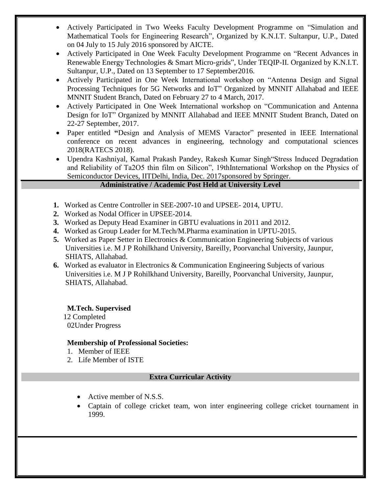- Actively Participated in Two Weeks Faculty Development Programme on "Simulation and Mathematical Tools for Engineering Research", Organized by K.N.I.T. Sultanpur, U.P., Dated on 04 July to 15 July 2016 sponsored by AICTE.
- Actively Participated in One Week Faculty Development Programme on "Recent Advances in Renewable Energy Technologies & Smart Micro-grids", Under TEQIP-II. Organized by K.N.I.T. Sultanpur, U.P., Dated on 13 September to 17 September2016.
- Actively Participated in One Week International workshop on "Antenna Design and Signal Processing Techniques for 5G Networks and IoT" Organized by MNNIT Allahabad and IEEE MNNIT Student Branch, Dated on February 27 to 4 March, 2017.
- Actively Participated in One Week International workshop on "Communication and Antenna Design for IoT" Organized by MNNIT Allahabad and IEEE MNNIT Student Branch, Dated on 22-27 September, 2017.
- Paper entitled **"**Design and Analysis of MEMS Varactor" presented in IEEE International conference on recent advances in engineering, technology and computational sciences 2018(RATECS 2018).
- Upendra Kashniyal, Kamal Prakash Pandey, Rakesh Kumar Singh"Stress Induced Degradation and Reliability of Ta2O5 thin film on Silicon", 19thInternational Workshop on the Physics of Semiconductor Devices, IITDelhi, India, Dec. 2017sponsored by Springer.

# **Administrative / Academic Post Held at University Level**

- **1.** Worked as Centre Controller in SEE-2007-10 and UPSEE- 2014, UPTU.
- **2.** Worked as Nodal Officer in UPSEE-2014.
- **3.** Worked as Deputy Head Examiner in GBTU evaluations in 2011 and 2012.
- **4.** Worked as Group Leader for M.Tech/M.Pharma examination in UPTU-2015.
- **5.** Worked as Paper Setter in Electronics & Communication Engineering Subjects of various Universities i.e. M J P Rohilkhand University, Bareilly, Poorvanchal University, Jaunpur, SHIATS, Allahabad.
- **6.** Worked as evaluator in Electronics & Communication Engineering Subjects of various Universities i.e. M J P Rohilkhand University, Bareilly, Poorvanchal University, Jaunpur, SHIATS, Allahabad.

**M.Tech. Supervised**

 12 Completed 02Under Progress

٦

# **Membership of Professional Societies:**

- 1. Member of IEEE
- 2. Life Member of ISTE

# **Extra Curricular Activity**

- Active member of N.S.S.
- Captain of college cricket team, won inter engineering college cricket tournament in 1999.